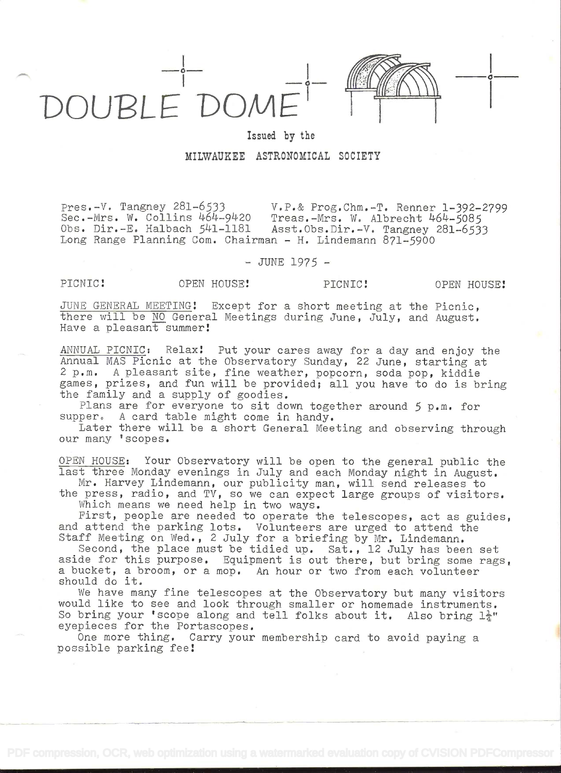

## Issued by the MILWAUKEE ASTRONOMICAL SOCIETY

pres.-V. Tangney 281-6533 V.P.& Prog.Chm.-T. Renner 1-392-2799 Sec.-Mrs. W. Collins 464-9420 Treas.-Mrs. W. Albrecht 464-5085<br>Obs. Dir.-E. Halbach 541-1181 Asst.Obs.Dir.-V. Tangney 281-653 Asst.Obs.Dir.-V. Tangney 281-6533 Long Range Planning Com. Chairman - H. Lindemann 871-5900

## - JUNE 1975 -

PICNIC! OPEN HOUSE! PICNIC! OPEN HOUSE!

i kacamatan ing Kabupatèn Kabupatèn Kabupatèn Kabupatèn Kabupatèn Kabupatèn Kabupatèn Kabupatèn Kabupatèn Kabu

JUNE GENERAL MEETiNG! Except for a short meeting at the Picnic, there will be NO General Meetings during June, July, and August. Have a pleasant summer!

ANNUAL PICNIC: Relax! Put your cares away for a day and enjoy the Annual MAS Picnic at the Observatory Sunday, 22 June, starting at<br>2 p.m. A pleasant site, fine weather, popcorn, soda pop. kiddie A pleasant site, fine weather, popcorn, soda pop, kiddie games, prizes, and fun will be provided; all you have to do is bring the family and a supply of goodies.

Plans are for everyone to sit down together around 5 p.m. for supper. A card table might come in handy.

Later there will be a short General Meeting and observing through our many 'scopes.

OPEN HOUSE: Your Observatory will be open to the general public the last three Monday evenings in July and each Monday night in August.

Mr. Harvey Lindemann, our publicity man, will send releases to the press, radio, and TV, so we can expect large groups of visitors.

Which means we need help in two ways.

First, people are needed to operate the telescopes, act as guides, and attend the parking lots. Volunteers are urged to attend the Staff Meeting on Wed., 2 July for a briefing by Mr. Lindemann.<br>Second, the place must be tidied up. Sat., 12 July has been set

Second, the place must be tidied up. Sat., 12 July has been set aside for this purpose. Equipment is out there, but bring some rags, a bucket, a broom, or a mop. An hour or two from each volunteer should do it.

We have many fine telescopes at the Observatory but many visitors would like to see and look through smaller or homemade instruments. So bring your 'scope along and tell folks about it. Also bring  $1\frac{1}{4}$ " eyepieces for the Portascopes.

One more thing. Carry your membership card to avoid paying a possible parking fee!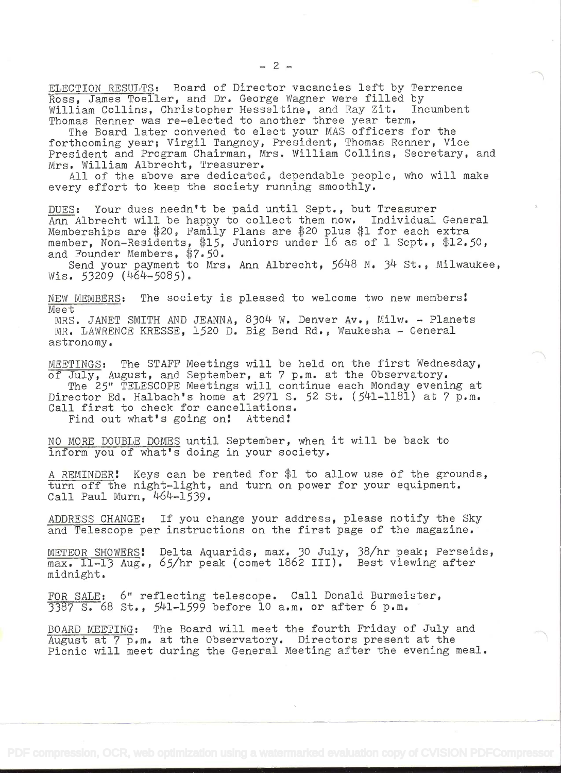ELECTION RESULTS: Board of Director vacancies left by Terrence Ross, James Toeller, and Dr. George Wagner were filled by<br>William Collins. Christopher Hesseltine. and Ray Zit. Incumbent William Collins, Christopher Hesseltine, and Ray Zit. Thomas Renner was re-elected to another three year term.

The Board later convened to elect your MAS officers for the forthcoming year; Virgil Tangney, President, Thomas Renner, Vice President and Program Chairman, Mrs. William Collins, Secretary, and Mrs. William Albrecht, Treasurer.

All of the above are dedicated, dependable people, who will make every effort to keep the society running smoothly.

DUES: Your dues needn't be paid until Sept., but Treasurer Ann Albrecht will be happy to collect them now. Individual General Memberships are \$20, Family Plans are \$20 plus \$1 for each extra member, Non-Residents, \$15, Juniors under 16 as of 1 Sept.,  $$12.50$ , and Founder Members,  $$7.50$ .

Send your payment to Mrs. Ann Albrecht, 5648 N. 34 St., Milwaukee, Wis.  $53209$  (464-5085).

NEW MEMBERS: The society is pleased to welcome two new members! Me e t

MRS. JANET SMITH AND JEANNA, 8304 W. Denver Av., Milw. - Planets MR. LAWRENCE KRESSE, 1520 D. Big Bend Rd., Waukesha - General astronomy.

MEETINGS: The STAFF Meetings will be held on the first Wednesday, of July, August, and September, at 7 p.m. at the Observatory. The 25" TELESCOPE Meetings will continue each Monday evening at Director Ed. Halbach's home at 2971 S. 52 St.  $(541-1181)$  at 7 p.m. Call first to check for cancellations.<br>Find out what's going on! Attend!

Find out what's going on!

NO MORE DOUBLE DOMES until September, when it will be back to inform you of what's doing in your society.

A REMINDER! Keys can be rented for  $$1$  to allow use of the grounds, turn off the night-light, and turn on power for your equipment. Call Paul Mum, 464-1539.

ADDRESS CHANGE: If you change your address, please notify the Sky and Telescope per instructions on the first page of the magazine.

METEOR SHOWERS! Delta Aquarids, max. 30 July, 38/hr peak; Perseids, max. 11-13 Aug., 65/hr peak (comet 1862 III). Best viewing after midnight.

FOR SALE: 6" reflecting telescope. Call Donald Burmeister, 387 S. 68 st., 541-1599 before 10 a.m. or after 6 p.m.

BOARD MEETING: The Board will meet the fourth Friday of July and August at 7 p.m. at the Observatory. Directors present at the Picnic will meet during the General Meeting after the evening meal.